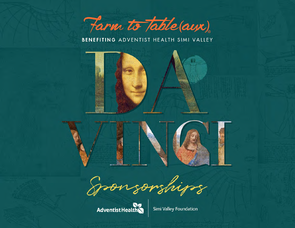

BENEFITING ADVENTIST HEALTH SIMI VALLEY





Spoon sorships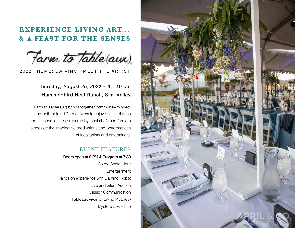# **EXPERIENCE LIVING ART... & A FEAST FOR THE SENSES**

Farm to Table(aux)

2022 THEME: DA VINCI, MEET THE ARTIST

### Thursday, August 25, 2022 • 6 – 10 pm Hummingbird Nest Ranch, Simi Valley

Farm to Table(aux) brings together community-minded, philanthropic art & food lovers to enjoy a feast of fresh and seasonal dishes prepared by local chefs and farmers alongside the imaginative productions and performances of local artists and entertainers.

### EVENT FEATURES

#### Doors open at 6 PM & Program at 7:30

Soiree Social Hour **Entertainment** Hands on experience with Da Vinci Robot Live and Silent Auction Mission Communication Tableaux Vivants (Living Pictures) Mystére Box Raffle

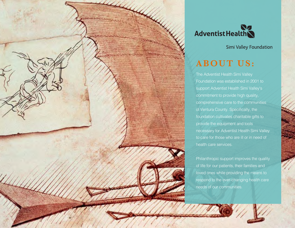



Simi Valley Foundation

# **ABOUT US:**

The Adventist Health Simi Valley Foundation was established in 2001 to support Adventist Health Simi Valley's commitment to provide high quality, comprehensive care to the communities of Ventura County. Specifically, the foundation cultivates charitable gifts to provide the equipment and tools necessary for Adventist Health Simi Valley to care for those who are ill or in need of health care services.

Philanthropic support improves the quality of life for our patients, their families and loved ones while providing the means to respond to the ever-changing health care needs of our communities.

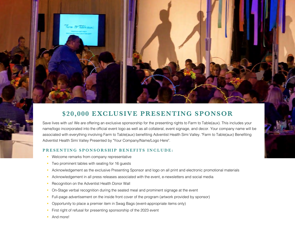

# **\$20,000 EXCLUSIVE PRESENTING SPONSOR**

Save lives with us! We are offering an exclusive sponsorship for the presenting rights to Farm to Table(aux). This includes your name/logo incorporated into the official event logo as well as all collateral, event signage, and decor. Your company name will be associated with everything involving Farm to Table(aux) benefiting Adventist Health Simi Valley. "Farm to Table(aux) Benefiting Adventist Health Simi Valley Presented by "Your Company/Name/Logo Here".

#### **PRESENTING SPONSORSHIP BENEFITS INCLUDE:**

- Welcome remarks from company representative
- Two prominent tables with seating for 16 guests
- Acknowledgement as the exclusive Presenting Sponsor and logo on all print and electronic promotional materials
- § Acknowledgement in all press releases associated with the event, e-newsletters and social media
- Recognition on the Adventist Health Donor Wall
- § On-Stage verbal recognition during the seated meal and prominent signage at the event
- § Full-page advertisement on the inside front cover of the program (artwork provided by sponsor)
- § Opportunity to place a premier item in Swag Bags (event-appropriate items only)
- § First right of refusal for presenting sponsorship of the 2023 event
- And more!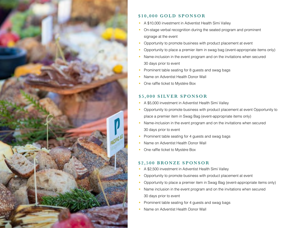

### **\$10,000 GOLD SPONSOR**

- § A \$10,000 investment in Adventist Health Simi Valley
- On-stage verbal recognition during the seated program and prominent signage at the event
- § Opportunity to promote business with product placement at event
- § Opportunity to place a premier item in swag bag (event-appropriate items only)
- Name-inclusion in the event program and on the invitations when secured 30 days prior to event
- Prominent table seating for 8 guests and swag bags
- § Name on Adventist Health Donor Wall
- § One raffle ticket to Mystére Box

### **\$5,000 SILVER SPONSOR**

- § A \$5,000 investment in Adventist Health Simi Valley
- Opportunity to promote business with product placement at event Opportunity to place a premier item in Swag Bag (event-appropriate items only)
- Name-inclusion in the event program and on the invitations when secured 30 days prior to event
- Prominent table seating for 4 guests and swag bags
- § Name on Adventist Health Donor Wall
- § One raffle ticket to Mystére Box

### **\$2,500 BRONZE SPONSOR**

- § A \$2,500 investment in Adventist Health Simi Valley
- Opportunity to promote business with product placement at event
- § Opportunity to place a premier item in Swag Bag (event-appropriate items only)
- Name inclusion in the event program and on the invitations when secured 30 days prior to event
- § Prominent table seating for 4 guests and swag bags
- § Name on Adventist Health Donor Wall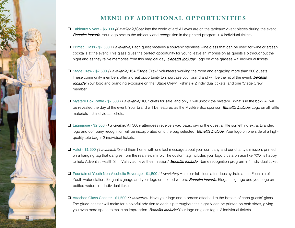

## **MENU OF ADDITIONAL OPPORTUNITIES**

- □ Tableaux Vivant \$5,000 (4 available) Soar into the world of art! All eyes are on the tableaux vivant pieces during the event. **Benefits Include:** Your logo next to the tableaux and recognition in the printed program + 4 individual tickets
- $\Box$  Printed Glass \$2,500 *(1 available)* Each guest receives a souvenir stemless wine glass that can be used for wine or artisan cocktails at the event. This glass gives the perfect opportunity for you to leave an impression as guests sip throughout the night and as they relive memories from this magical day. **Benefits Include:** Logo on wine glasses + 2 individual tickets.
- □ Stage Crew \$2,500 (1 available) 15+ "Stage Crew" volunteers working the room and engaging more than 300 guests. These community members offer a great opportunity to showcase your brand and will be the hit of the event. **Benefits** Include: Your logo and branding exposure on the "Stage Crew" T-shirts + 2 individual tickets, and one "Stage Crew" member.
- □ Mystère Box Raffle \$2,500 *(1 available)* 100 tickets for sale, and only 1 will unlock the mystery. What's in the box? All will be revealed the day of the event. Your brand will be featured as the Mystère Box sponsor. **Benefits Include:** Logo on all raffle materials + 2 individual tickets.
- □ Lagniappe \$2,500 (1 available) All 300+ attendees receive swag bags, giving the guest a little something extra. Branded logo and company recognition will be incorporated onto the bag selected. Benefits Include: Your logo on one side of a highquality tote bag  $+ 2$  individual tickets.
- $\Box$  Valet \$1,500 *(1 available)* Send them home with one last message about your company and our charity's mission, printed on a hanging tag that dangles from the rearview mirror. The custom tag includes your logo plus a phrase like "XXX is happy to help Adventist Health Simi Valley achieve their mission." **Benefits Include:** Name recognition program + 1 individual ticket.
- $\Box$  Fountain of Youth Non-Alcoholic Beverage \$1,500 (1 available) Help our fabulous attendees hydrate at the Fountain of Youth water station. Elegant signage and your logo on bottled waters. **Benefits Include:** Elegant signage and your logo on bottled waters + 1 individual ticket.
- $\Box$  Attached Glass Coaster \$1,500 (1 available) Have your logo and a phrase attached to the bottom of each guests' glass. The glued coaster will make for a colorful addition to each sip throughout the night & can be printed on both sides, giving you even more space to make an impression. **Benefits Include:** Your logo on glass tag + 2 individual tickets.